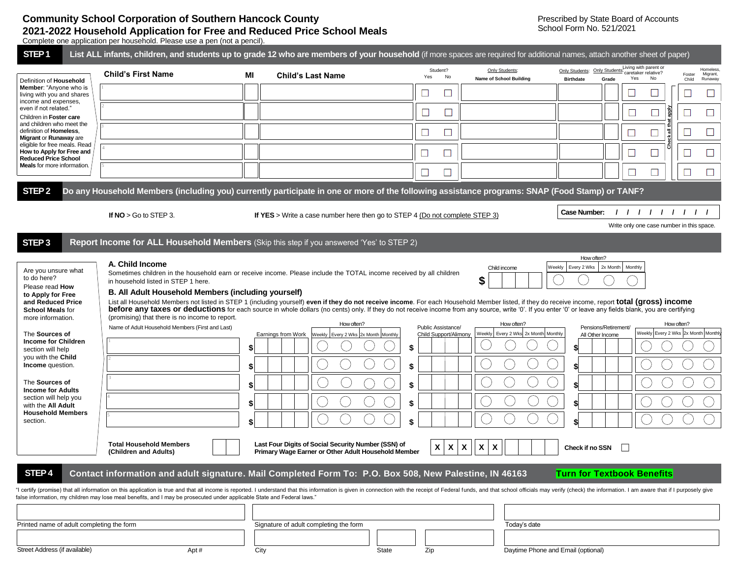## **Community School Corporation of Southern Hancock County 2021-2022 Household Application for Free and Reduced Price School Meals**

Complete one application per household. Please use a pen (not a pencil).

| STEP <sub>1</sub>                                                                                                                                                                                                                                                                                                                                                                |                                                                                                                                                                                                                     |          | List ALL infants, children, and students up to grade 12 who are members of your household (if more spaces are required for additional names, attach another sheet of paper)                                                                                                                                                                                                                                                                                                                                                                                                                                         |                                                   |                                                                   |                                                                                                                                                                                                                               |  |  |  |  |
|----------------------------------------------------------------------------------------------------------------------------------------------------------------------------------------------------------------------------------------------------------------------------------------------------------------------------------------------------------------------------------|---------------------------------------------------------------------------------------------------------------------------------------------------------------------------------------------------------------------|----------|---------------------------------------------------------------------------------------------------------------------------------------------------------------------------------------------------------------------------------------------------------------------------------------------------------------------------------------------------------------------------------------------------------------------------------------------------------------------------------------------------------------------------------------------------------------------------------------------------------------------|---------------------------------------------------|-------------------------------------------------------------------|-------------------------------------------------------------------------------------------------------------------------------------------------------------------------------------------------------------------------------|--|--|--|--|
| Definition of Household<br>Member: "Anyone who is<br>living with you and shares<br>income and expenses,<br>even if not related."<br>Children in Foster care<br>and children who meet the<br>definition of Homeless,<br>Migrant or Runaway are<br>eligible for free meals. Read<br>How to Apply for Free and<br><b>Reduced Price School</b><br><b>Meals</b> for more information. | <b>Child's First Name</b>                                                                                                                                                                                           | MI       | <b>Child's Last Name</b>                                                                                                                                                                                                                                                                                                                                                                                                                                                                                                                                                                                            | Student?<br>No<br>Yes                             | Only Students:<br>Name of School Building                         | Living with parent or<br>Homeless.<br>Only Students: Only Students: caretaker relative?<br>Migrant,<br>Foster<br>Yes<br>No<br><b>Birthdate</b><br>Grade<br>Runaway<br>Child                                                   |  |  |  |  |
|                                                                                                                                                                                                                                                                                                                                                                                  |                                                                                                                                                                                                                     |          |                                                                                                                                                                                                                                                                                                                                                                                                                                                                                                                                                                                                                     | ⊔                                                 |                                                                   |                                                                                                                                                                                                                               |  |  |  |  |
|                                                                                                                                                                                                                                                                                                                                                                                  |                                                                                                                                                                                                                     |          |                                                                                                                                                                                                                                                                                                                                                                                                                                                                                                                                                                                                                     | $\Box$<br>$\Box$                                  |                                                                   |                                                                                                                                                                                                                               |  |  |  |  |
|                                                                                                                                                                                                                                                                                                                                                                                  |                                                                                                                                                                                                                     |          |                                                                                                                                                                                                                                                                                                                                                                                                                                                                                                                                                                                                                     | ⊔                                                 |                                                                   | $\Box$<br>゠<br>$\sqcup$                                                                                                                                                                                                       |  |  |  |  |
|                                                                                                                                                                                                                                                                                                                                                                                  |                                                                                                                                                                                                                     |          |                                                                                                                                                                                                                                                                                                                                                                                                                                                                                                                                                                                                                     | $\sqcup$<br>$\Box$                                |                                                                   | $\Box$<br>⊔                                                                                                                                                                                                                   |  |  |  |  |
|                                                                                                                                                                                                                                                                                                                                                                                  |                                                                                                                                                                                                                     |          |                                                                                                                                                                                                                                                                                                                                                                                                                                                                                                                                                                                                                     | ⊔                                                 |                                                                   | $\Box$<br>$\Box$                                                                                                                                                                                                              |  |  |  |  |
| STEP <sub>2</sub>                                                                                                                                                                                                                                                                                                                                                                |                                                                                                                                                                                                                     |          |                                                                                                                                                                                                                                                                                                                                                                                                                                                                                                                                                                                                                     |                                                   |                                                                   |                                                                                                                                                                                                                               |  |  |  |  |
| Do any Household Members (including you) currently participate in one or more of the following assistance programs: SNAP (Food Stamp) or TANF?                                                                                                                                                                                                                                   |                                                                                                                                                                                                                     |          |                                                                                                                                                                                                                                                                                                                                                                                                                                                                                                                                                                                                                     |                                                   |                                                                   |                                                                                                                                                                                                                               |  |  |  |  |
|                                                                                                                                                                                                                                                                                                                                                                                  | If $NO > Go$ to STEP 3.                                                                                                                                                                                             |          | If YES > Write a case number here then go to STEP 4 (Do not complete STEP 3)                                                                                                                                                                                                                                                                                                                                                                                                                                                                                                                                        |                                                   |                                                                   | <b>Case Number:</b><br>11111111<br>Write only one case number in this space.                                                                                                                                                  |  |  |  |  |
| STEP <sub>3</sub>                                                                                                                                                                                                                                                                                                                                                                |                                                                                                                                                                                                                     |          | Report Income for ALL Household Members (Skip this step if you answered 'Yes' to STEP 2)                                                                                                                                                                                                                                                                                                                                                                                                                                                                                                                            |                                                   |                                                                   |                                                                                                                                                                                                                               |  |  |  |  |
| Are you unsure what<br>to do here?<br>Please read How<br>to Apply for Free<br>and Reduced Price<br><b>School Meals for</b><br>more information.<br>The Sources of<br><b>Income for Children</b><br>section will help<br>you with the Child<br><b>Income</b> question.<br>The Sources of<br><b>Income for Adults</b><br>section will help you                                     | A. Child Income<br>in household listed in STEP 1 here.<br>B. All Adult Household Members (including yourself)<br>(promising) that there is no income to report.<br>Name of Adult Household Members (First and Last) | \$<br>\$ | Sometimes children in the household earn or receive income. Please include the TOTAL income received by all children<br>List all Household Members not listed in STEP 1 (including yourself) even if they do not receive income. For each Household Member listed, if they do receive income, report total (gross) income<br>before any taxes or deductions for each source in whole dollars (no cents) only. If they do not receive income from any source, write '0'. If you enter '0' or leave any fields blank, you are certifying<br>How often?<br>Earnings from Work<br>Weekly   Every 2 Wks 2x Month Monthly | Public Assistance/<br>Child Support/Alimony<br>\$ | Child income<br>How often?<br>Weekly Every 2 Wks 2x Month Monthly | How often?<br>Weekly<br>Every 2 Wks   2x Month  <br>Monthly<br>How often?<br>Pensions/Retirement/<br>Weekly Every 2 Wks 2x Month Monthly<br>All Other Income<br>\$<br>\$                                                      |  |  |  |  |
| with the All Adult<br><b>Household Members</b><br>section.                                                                                                                                                                                                                                                                                                                       |                                                                                                                                                                                                                     |          |                                                                                                                                                                                                                                                                                                                                                                                                                                                                                                                                                                                                                     |                                                   |                                                                   | \$                                                                                                                                                                                                                            |  |  |  |  |
| STEP <sub>4</sub>                                                                                                                                                                                                                                                                                                                                                                | <b>Total Household Members</b><br>(Children and Adults)                                                                                                                                                             |          | Last Four Digits of Social Security Number (SSN) of<br>Primary Wage Earner or Other Adult Household Member<br>Contact information and adult signature. Mail Completed Form To: P.O. Box 508, New Palestine, IN 46163                                                                                                                                                                                                                                                                                                                                                                                                | X<br>X                                            | $\boldsymbol{\mathsf{X}}$<br>$\boldsymbol{\mathsf{X}}$<br>X       | Check if no SSN<br><b>Turn for Textbook Benefits</b>                                                                                                                                                                          |  |  |  |  |
|                                                                                                                                                                                                                                                                                                                                                                                  | false information, my children may lose meal benefits, and I may be prosecuted under applicable State and Federal laws."                                                                                            |          |                                                                                                                                                                                                                                                                                                                                                                                                                                                                                                                                                                                                                     |                                                   |                                                                   | "I certify (promise) that all information on this application is true and that all income is reported. I understand that this information is given in connection with the receipt of Federal funds, and that school officials |  |  |  |  |
| Printed name of adult completing the form                                                                                                                                                                                                                                                                                                                                        |                                                                                                                                                                                                                     |          | Signature of adult completing the form<br>Today's date                                                                                                                                                                                                                                                                                                                                                                                                                                                                                                                                                              |                                                   |                                                                   |                                                                                                                                                                                                                               |  |  |  |  |
| Street Address (if available)                                                                                                                                                                                                                                                                                                                                                    | Apt#                                                                                                                                                                                                                |          | City<br>State                                                                                                                                                                                                                                                                                                                                                                                                                                                                                                                                                                                                       | Zip                                               |                                                                   | Daytime Phone and Email (optional)                                                                                                                                                                                            |  |  |  |  |